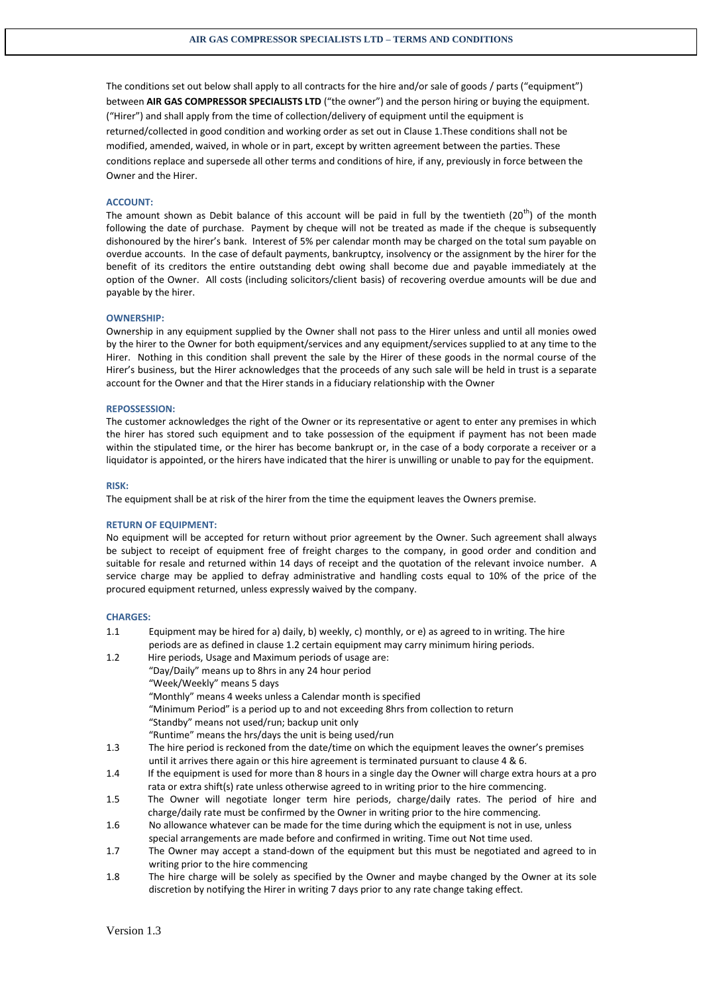The conditions set out below shall apply to all contracts for the hire and/or sale of goods / parts ("equipment") between **AIR GAS COMPRESSOR SPECIALISTS LTD** ("the owner") and the person hiring or buying the equipment. ("Hirer") and shall apply from the time of collection/delivery of equipment until the equipment is returned/collected in good condition and working order as set out in Clause 1.These conditions shall not be modified, amended, waived, in whole or in part, except by written agreement between the parties. These conditions replace and supersede all other terms and conditions of hire, if any, previously in force between the Owner and the Hirer.

#### **ACCOUNT:**

The amount shown as Debit balance of this account will be paid in full by the twentieth  $(20<sup>th</sup>)$  of the month following the date of purchase. Payment by cheque will not be treated as made if the cheque is subsequently dishonoured by the hirer's bank. Interest of 5% per calendar month may be charged on the total sum payable on overdue accounts. In the case of default payments, bankruptcy, insolvency or the assignment by the hirer for the benefit of its creditors the entire outstanding debt owing shall become due and payable immediately at the option of the Owner. All costs (including solicitors/client basis) of recovering overdue amounts will be due and payable by the hirer.

#### **OWNERSHIP:**

Ownership in any equipment supplied by the Owner shall not pass to the Hirer unless and until all monies owed by the hirer to the Owner for both equipment/services and any equipment/services supplied to at any time to the Hirer. Nothing in this condition shall prevent the sale by the Hirer of these goods in the normal course of the Hirer's business, but the Hirer acknowledges that the proceeds of any such sale will be held in trust is a separate account for the Owner and that the Hirer stands in a fiduciary relationship with the Owner

#### **REPOSSESSION:**

The customer acknowledges the right of the Owner or its representative or agent to enter any premises in which the hirer has stored such equipment and to take possession of the equipment if payment has not been made within the stipulated time, or the hirer has become bankrupt or, in the case of a body corporate a receiver or a liquidator is appointed, or the hirers have indicated that the hirer is unwilling or unable to pay for the equipment.

#### **RISK:**

The equipment shall be at risk of the hirer from the time the equipment leaves the Owners premise.

#### **RETURN OF EQUIPMENT:**

No equipment will be accepted for return without prior agreement by the Owner. Such agreement shall always be subject to receipt of equipment free of freight charges to the company, in good order and condition and suitable for resale and returned within 14 days of receipt and the quotation of the relevant invoice number. A service charge may be applied to defray administrative and handling costs equal to 10% of the price of the procured equipment returned, unless expressly waived by the company.

#### **CHARGES:**

- 1.1 Equipment may be hired for a) daily, b) weekly, c) monthly, or e) as agreed to in writing. The hire periods are as defined in clause 1.2 certain equipment may carry minimum hiring periods.
- 1.2 Hire periods, Usage and Maximum periods of usage are: "Day/Daily" means up to 8hrs in any 24 hour period "Week/Weekly" means 5 days "Monthly" means 4 weeks unless a Calendar month is specified "Minimum Period" is a period up to and not exceeding 8hrs from collection to return "Standby" means not used/run; backup unit only "Runtime" means the hrs/days the unit is being used/run
- 1.3 The hire period is reckoned from the date/time on which the equipment leaves the owner's premises until it arrives there again or this hire agreement is terminated pursuant to clause 4 & 6.
- 1.4 If the equipment is used for more than 8 hours in a single day the Owner will charge extra hours at a pro rata or extra shift(s) rate unless otherwise agreed to in writing prior to the hire commencing.
- 1.5 The Owner will negotiate longer term hire periods, charge/daily rates. The period of hire and charge/daily rate must be confirmed by the Owner in writing prior to the hire commencing.
- 1.6 No allowance whatever can be made for the time during which the equipment is not in use, unless special arrangements are made before and confirmed in writing. Time out Not time used.
- 1.7 The Owner may accept a stand-down of the equipment but this must be negotiated and agreed to in writing prior to the hire commencing
- 1.8 The hire charge will be solely as specified by the Owner and maybe changed by the Owner at its sole discretion by notifying the Hirer in writing 7 days prior to any rate change taking effect.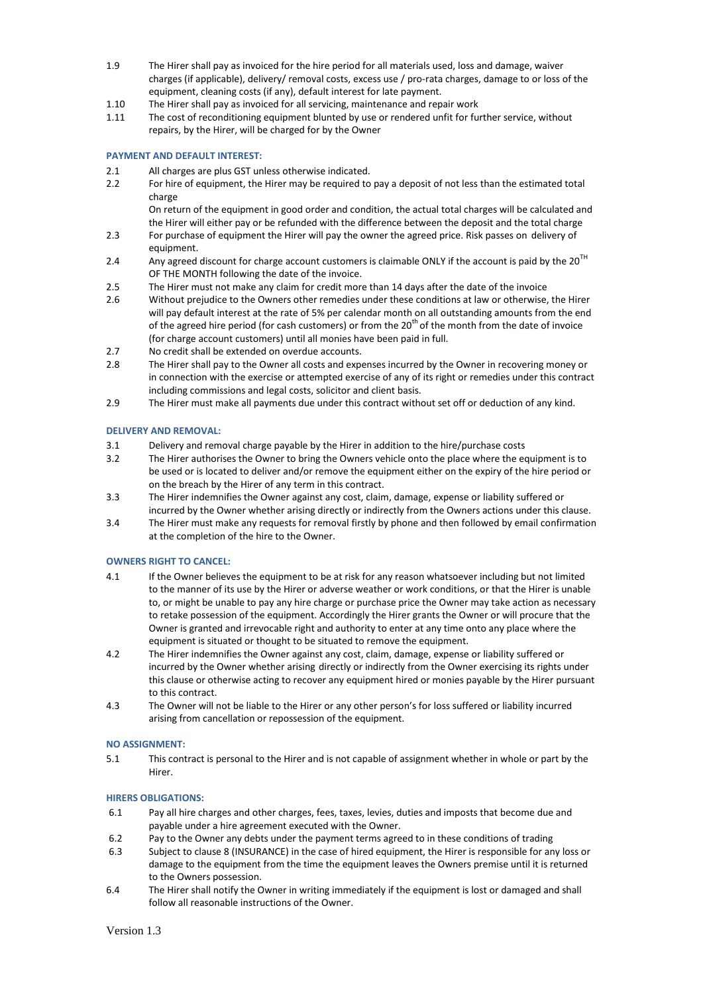- 1.9 The Hirer shall pay as invoiced for the hire period for all materials used, loss and damage, waiver charges (if applicable), delivery/ removal costs, excess use / pro-rata charges, damage to or loss of the equipment, cleaning costs (if any), default interest for late payment.
- 1.10 The Hirer shall pay as invoiced for all servicing, maintenance and repair work
- 1.11 The cost of reconditioning equipment blunted by use or rendered unfit for further service, without repairs, by the Hirer, will be charged for by the Owner

# **PAYMENT AND DEFAULT INTEREST:**

- 2.1 All charges are plus GST unless otherwise indicated.
- 2.2 For hire of equipment, the Hirer may be required to pay a deposit of not less than the estimated total charge

On return of the equipment in good order and condition, the actual total charges will be calculated and the Hirer will either pay or be refunded with the difference between the deposit and the total charge

- 2.3 For purchase of equipment the Hirer will pay the owner the agreed price. Risk passes on delivery of equipment.
- 2.4 Any agreed discount for charge account customers is claimable ONLY if the account is paid by the  $20^{TH}$ OF THE MONTH following the date of the invoice.
- 2.5 The Hirer must not make any claim for credit more than 14 days after the date of the invoice
- 2.6 Without prejudice to the Owners other remedies under these conditions at law or otherwise, the Hirer will pay default interest at the rate of 5% per calendar month on all outstanding amounts from the end of the agreed hire period (for cash customers) or from the  $20<sup>th</sup>$  of the month from the date of invoice (for charge account customers) until all monies have been paid in full.
- 2.7 No credit shall be extended on overdue accounts.
- 2.8 The Hirer shall pay to the Owner all costs and expenses incurred by the Owner in recovering money or in connection with the exercise or attempted exercise of any of its right or remedies under this contract including commissions and legal costs, solicitor and client basis.
- 2.9 The Hirer must make all payments due under this contract without set off or deduction of any kind.

# **DELIVERY AND REMOVAL:**

- 3.1 Delivery and removal charge payable by the Hirer in addition to the hire/purchase costs
- 3.2 The Hirer authorises the Owner to bring the Owners vehicle onto the place where the equipment is to be used or is located to deliver and/or remove the equipment either on the expiry of the hire period or on the breach by the Hirer of any term in this contract.
- 3.3 The Hirer indemnifies the Owner against any cost, claim, damage, expense or liability suffered or incurred by the Owner whether arising directly or indirectly from the Owners actions under this clause.
- 3.4 The Hirer must make any requests for removal firstly by phone and then followed by email confirmation at the completion of the hire to the Owner.

## **OWNERS RIGHT TO CANCEL:**

- 4.1 If the Owner believes the equipment to be at risk for any reason whatsoever including but not limited to the manner of its use by the Hirer or adverse weather or work conditions, or that the Hirer is unable to, or might be unable to pay any hire charge or purchase price the Owner may take action as necessary to retake possession of the equipment. Accordingly the Hirer grants the Owner or will procure that the Owner is granted and irrevocable right and authority to enter at any time onto any place where the equipment is situated or thought to be situated to remove the equipment.
- 4.2 The Hirer indemnifies the Owner against any cost, claim, damage, expense or liability suffered or incurred by the Owner whether arising directly or indirectly from the Owner exercising its rights under this clause or otherwise acting to recover any equipment hired or monies payable by the Hirer pursuant to this contract.
- 4.3 The Owner will not be liable to the Hirer or any other person's for loss suffered or liability incurred arising from cancellation or repossession of the equipment.

## **NO ASSIGNMENT:**

5.1 This contract is personal to the Hirer and is not capable of assignment whether in whole or part by the Hirer.

## **HIRERS OBLIGATIONS:**

- 6.1 Pay all hire charges and other charges, fees, taxes, levies, duties and imposts that become due and payable under a hire agreement executed with the Owner.
- 6.2 Pay to the Owner any debts under the payment terms agreed to in these conditions of trading
- 6.3 Subject to clause 8 (INSURANCE) in the case of hired equipment, the Hirer is responsible for any loss or damage to the equipment from the time the equipment leaves the Owners premise until it is returned to the Owners possession.
- 6.4 The Hirer shall notify the Owner in writing immediately if the equipment is lost or damaged and shall follow all reasonable instructions of the Owner.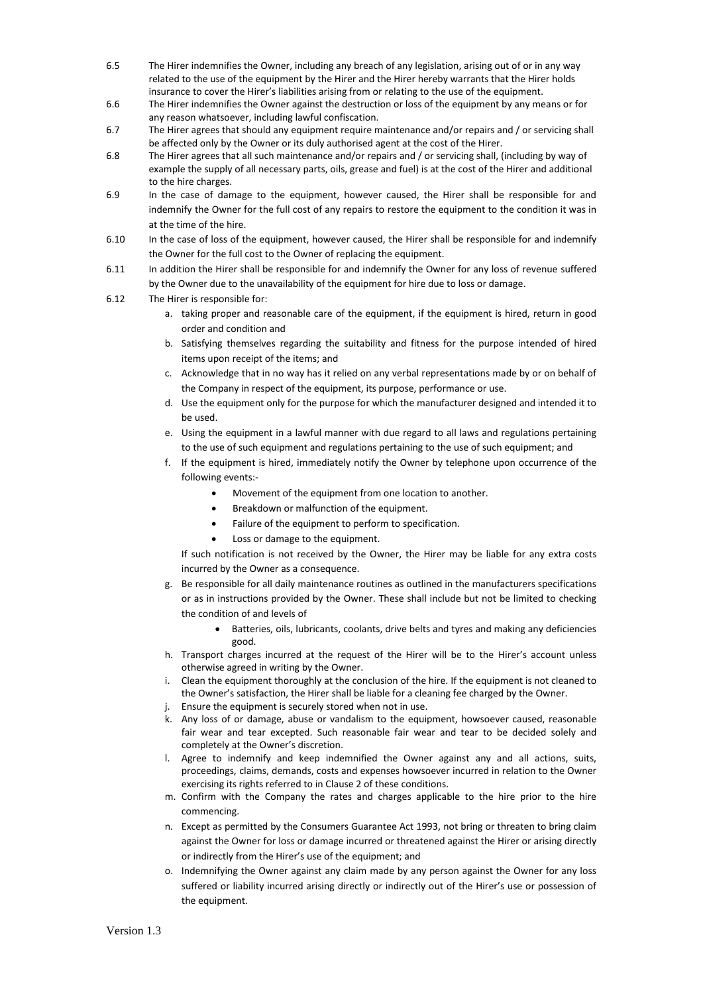- 6.5 The Hirer indemnifies the Owner, including any breach of any legislation, arising out of or in any way related to the use of the equipment by the Hirer and the Hirer hereby warrants that the Hirer holds insurance to cover the Hirer's liabilities arising from or relating to the use of the equipment.
- 6.6 The Hirer indemnifies the Owner against the destruction or loss of the equipment by any means or for any reason whatsoever, including lawful confiscation.
- 6.7 The Hirer agrees that should any equipment require maintenance and/or repairs and / or servicing shall be affected only by the Owner or its duly authorised agent at the cost of the Hirer.
- 6.8 The Hirer agrees that all such maintenance and/or repairs and / or servicing shall, (including by way of example the supply of all necessary parts, oils, grease and fuel) is at the cost of the Hirer and additional to the hire charges.
- 6.9 In the case of damage to the equipment, however caused, the Hirer shall be responsible for and indemnify the Owner for the full cost of any repairs to restore the equipment to the condition it was in at the time of the hire.
- 6.10 In the case of loss of the equipment, however caused, the Hirer shall be responsible for and indemnify the Owner for the full cost to the Owner of replacing the equipment.
- 6.11 In addition the Hirer shall be responsible for and indemnify the Owner for any loss of revenue suffered by the Owner due to the unavailability of the equipment for hire due to loss or damage.
- 6.12 The Hirer is responsible for:
	- a. taking proper and reasonable care of the equipment, if the equipment is hired, return in good order and condition and
	- b. Satisfying themselves regarding the suitability and fitness for the purpose intended of hired items upon receipt of the items; and
	- c. Acknowledge that in no way has it relied on any verbal representations made by or on behalf of the Company in respect of the equipment, its purpose, performance or use.
	- d. Use the equipment only for the purpose for which the manufacturer designed and intended it to be used.
	- e. Using the equipment in a lawful manner with due regard to all laws and regulations pertaining to the use of such equipment and regulations pertaining to the use of such equipment; and
	- f. If the equipment is hired, immediately notify the Owner by telephone upon occurrence of the following events:-
		- Movement of the equipment from one location to another.
		- Breakdown or malfunction of the equipment.
		- Failure of the equipment to perform to specification.
		- Loss or damage to the equipment.

If such notification is not received by the Owner, the Hirer may be liable for any extra costs incurred by the Owner as a consequence.

- g. Be responsible for all daily maintenance routines as outlined in the manufacturers specifications or as in instructions provided by the Owner. These shall include but not be limited to checking the condition of and levels of
	- Batteries, oils, lubricants, coolants, drive belts and tyres and making any deficiencies good.
- h. Transport charges incurred at the request of the Hirer will be to the Hirer's account unless otherwise agreed in writing by the Owner.
- i. Clean the equipment thoroughly at the conclusion of the hire. If the equipment is not cleaned to the Owner's satisfaction, the Hirer shall be liable for a cleaning fee charged by the Owner.
- j. Ensure the equipment is securely stored when not in use.
- k. Any loss of or damage, abuse or vandalism to the equipment, howsoever caused, reasonable fair wear and tear excepted. Such reasonable fair wear and tear to be decided solely and completely at the Owner's discretion.
- l. Agree to indemnify and keep indemnified the Owner against any and all actions, suits, proceedings, claims, demands, costs and expenses howsoever incurred in relation to the Owner exercising its rights referred to in Clause 2 of these conditions.
- m. Confirm with the Company the rates and charges applicable to the hire prior to the hire commencing.
- n. Except as permitted by the Consumers Guarantee Act 1993, not bring or threaten to bring claim against the Owner for loss or damage incurred or threatened against the Hirer or arising directly or indirectly from the Hirer's use of the equipment; and
- o. Indemnifying the Owner against any claim made by any person against the Owner for any loss suffered or liability incurred arising directly or indirectly out of the Hirer's use or possession of the equipment.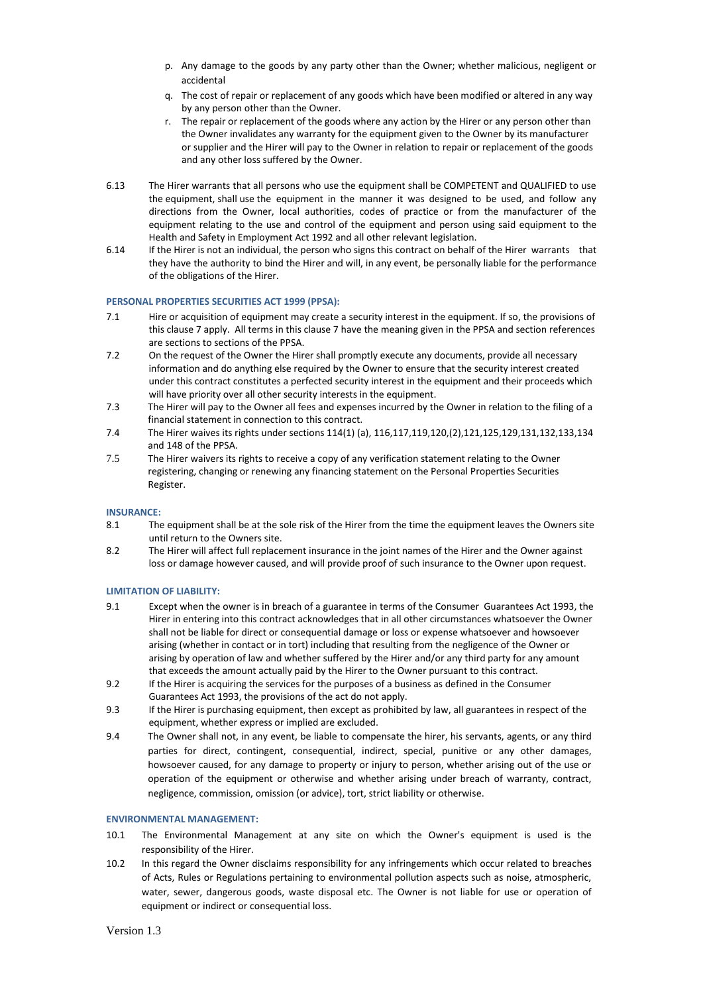- p. Any damage to the goods by any party other than the Owner; whether malicious, negligent or accidental
- q. The cost of repair or replacement of any goods which have been modified or altered in any way by any person other than the Owner.
- r. The repair or replacement of the goods where any action by the Hirer or any person other than the Owner invalidates any warranty for the equipment given to the Owner by its manufacturer or supplier and the Hirer will pay to the Owner in relation to repair or replacement of the goods and any other loss suffered by the Owner.
- 6.13 The Hirer warrants that all persons who use the equipment shall be COMPETENT and QUALIFIED to use the equipment, shall use the equipment in the manner it was designed to be used, and follow any directions from the Owner, local authorities, codes of practice or from the manufacturer of the equipment relating to the use and control of the equipment and person using said equipment to the Health and Safety in Employment Act 1992 and all other relevant legislation.
- 6.14 If the Hirer is not an individual, the person who signs this contract on behalf of the Hirer warrants that they have the authority to bind the Hirer and will, in any event, be personally liable for the performance of the obligations of the Hirer.

## **PERSONAL PROPERTIES SECURITIES ACT 1999 (PPSA):**

- 7.1 Hire or acquisition of equipment may create a security interest in the equipment. If so, the provisions of this clause 7 apply. All terms in this clause 7 have the meaning given in the PPSA and section references are sections to sections of the PPSA.
- 7.2 On the request of the Owner the Hirer shall promptly execute any documents, provide all necessary information and do anything else required by the Owner to ensure that the security interest created under this contract constitutes a perfected security interest in the equipment and their proceeds which will have priority over all other security interests in the equipment.
- 7.3 The Hirer will pay to the Owner all fees and expenses incurred by the Owner in relation to the filing of a financial statement in connection to this contract.
- 7.4 The Hirer waives its rights under sections 114(1) (a), 116,117,119,120,(2),121,125,129,131,132,133,134 and 148 of the PPSA.
- 7.5 The Hirer waivers its rights to receive a copy of any verification statement relating to the Owner registering, changing or renewing any financing statement on the Personal Properties Securities Register.

## **INSURANCE:**

- 8.1 The equipment shall be at the sole risk of the Hirer from the time the equipment leaves the Owners site until return to the Owners site.
- 8.2 The Hirer will affect full replacement insurance in the joint names of the Hirer and the Owner against loss or damage however caused, and will provide proof of such insurance to the Owner upon request.

## **LIMITATION OF LIABILITY:**

- 9.1 Except when the owner is in breach of a guarantee in terms of the Consumer Guarantees Act 1993, the Hirer in entering into this contract acknowledges that in all other circumstances whatsoever the Owner shall not be liable for direct or consequential damage or loss or expense whatsoever and howsoever arising (whether in contact or in tort) including that resulting from the negligence of the Owner or arising by operation of law and whether suffered by the Hirer and/or any third party for any amount that exceeds the amount actually paid by the Hirer to the Owner pursuant to this contract.
- 9.2 If the Hirer is acquiring the services for the purposes of a business as defined in the Consumer Guarantees Act 1993, the provisions of the act do not apply.
- 9.3 If the Hirer is purchasing equipment, then except as prohibited by law, all guarantees in respect of the equipment, whether express or implied are excluded.
- 9.4 The Owner shall not, in any event, be liable to compensate the hirer, his servants, agents, or any third parties for direct, contingent, consequential, indirect, special, punitive or any other damages, howsoever caused, for any damage to property or injury to person, whether arising out of the use or operation of the equipment or otherwise and whether arising under breach of warranty, contract, negligence, commission, omission (or advice), tort, strict liability or otherwise.

## **ENVIRONMENTAL MANAGEMENT:**

- 10.1 The Environmental Management at any site on which the Owner's equipment is used is the responsibility of the Hirer.
- 10.2 In this regard the Owner disclaims responsibility for any infringements which occur related to breaches of Acts, Rules or Regulations pertaining to environmental pollution aspects such as noise, atmospheric, water, sewer, dangerous goods, waste disposal etc. The Owner is not liable for use or operation of equipment or indirect or consequential loss.